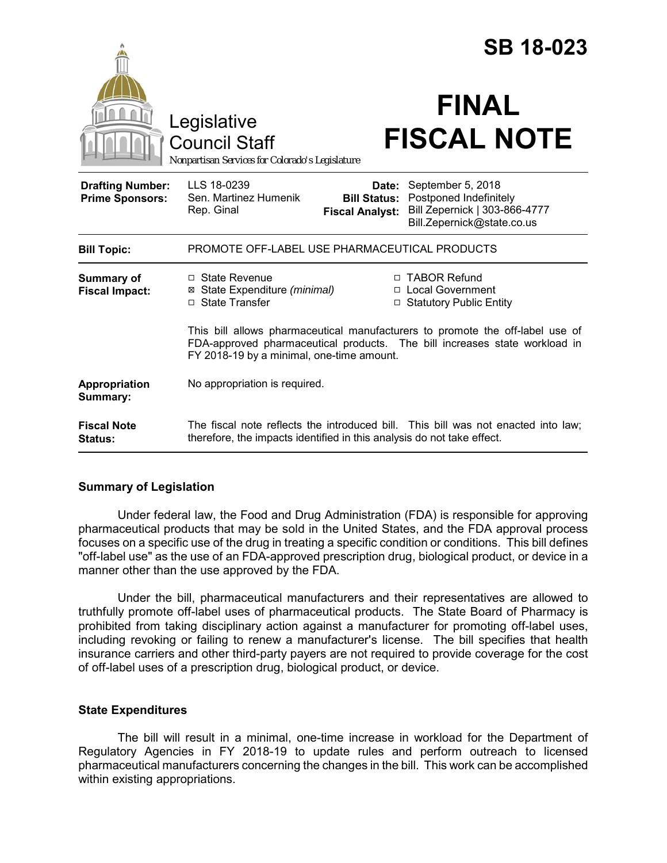|                                                   |                                                                                                                                                                                                                            | <b>SB 18-023</b> |  |
|---------------------------------------------------|----------------------------------------------------------------------------------------------------------------------------------------------------------------------------------------------------------------------------|------------------|--|
|                                                   | <b>FINAL</b><br>Legislative<br><b>FISCAL NOTE</b><br><b>Council Staff</b><br>Nonpartisan Services for Colorado's Legislature                                                                                               |                  |  |
| <b>Drafting Number:</b><br><b>Prime Sponsors:</b> | LLS 18-0239<br>September 5, 2018<br>Date:<br>Sen. Martinez Humenik<br>Postponed Indefinitely<br><b>Bill Status:</b><br>Bill Zepernick   303-866-4777<br>Rep. Ginal<br><b>Fiscal Analyst:</b><br>Bill.Zepernick@state.co.us |                  |  |
| <b>Bill Topic:</b>                                | PROMOTE OFF-LABEL USE PHARMACEUTICAL PRODUCTS                                                                                                                                                                              |                  |  |
| Summary of<br><b>Fiscal Impact:</b>               | □ TABOR Refund<br>$\Box$ State Revenue<br>⊠ State Expenditure (minimal)<br>□ Local Government<br>□ State Transfer<br>□ Statutory Public Entity                                                                             |                  |  |
|                                                   | This bill allows pharmaceutical manufacturers to promote the off-label use of<br>FDA-approved pharmaceutical products. The bill increases state workload in<br>FY 2018-19 by a minimal, one-time amount.                   |                  |  |
| Appropriation<br>Summary:                         | No appropriation is required.                                                                                                                                                                                              |                  |  |
| <b>Fiscal Note</b><br><b>Status:</b>              | The fiscal note reflects the introduced bill. This bill was not enacted into law;<br>therefore, the impacts identified in this analysis do not take effect.                                                                |                  |  |

## **Summary of Legislation**

Under federal law, the Food and Drug Administration (FDA) is responsible for approving pharmaceutical products that may be sold in the United States, and the FDA approval process focuses on a specific use of the drug in treating a specific condition or conditions. This bill defines "off-label use" as the use of an FDA-approved prescription drug, biological product, or device in a manner other than the use approved by the FDA.

Under the bill, pharmaceutical manufacturers and their representatives are allowed to truthfully promote off-label uses of pharmaceutical products. The State Board of Pharmacy is prohibited from taking disciplinary action against a manufacturer for promoting off-label uses, including revoking or failing to renew a manufacturer's license. The bill specifies that health insurance carriers and other third-party payers are not required to provide coverage for the cost of off-label uses of a prescription drug, biological product, or device.

## **State Expenditures**

The bill will result in a minimal, one-time increase in workload for the Department of Regulatory Agencies in FY 2018-19 to update rules and perform outreach to licensed pharmaceutical manufacturers concerning the changes in the bill. This work can be accomplished within existing appropriations.